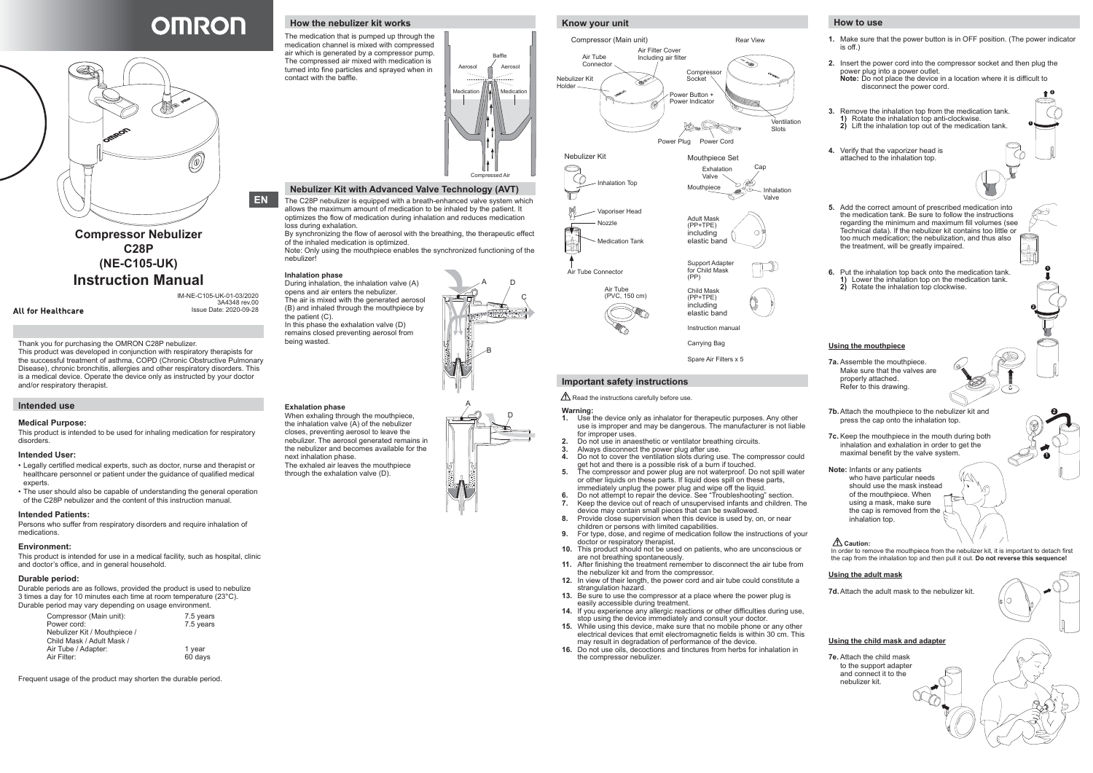Thank you for purchasing the OMRON C28P nebulizer.

This product was developed in conjunction with respiratory therapists for the successful treatment of asthma, COPD (Chronic Obstructive Pulmonary Disease), chronic bronchitis, allergies and other respiratory disorders. This is a medical device. Operate the device only as instructed by your doctor and/or respiratory therapist.

# **Intended use**

#### **Medical Purpose:**

This product is intended to be used for inhaling medication for respiratory disorders.

#### **Intended User:**

- Legally certified medical experts, such as doctor, nurse and therapist or healthcare personnel or patient under the guidance of qualified medical experts.
- The user should also be capable of understanding the general operation of the C28P nebulizer and the content of this instruction manual.

#### **Intended Patients:**

Persons who suffer from respiratory disorders and require inhalation of medications.

#### **Environment:**

This product is intended for use in a medical facility, such as hospital, clinic and doctor's office, and in general household.

#### **Durable period:**

Durable periods are as follows, provided the product is used to nebulize 3 times a day for 10 minutes each time at room temperature (23°C). Durable period may vary depending on usage environment.

| Compressor (Main unit):      | 7.5 years |
|------------------------------|-----------|
| Power cord:                  | 7.5 years |
| Nebulizer Kit / Mouthpiece / |           |
| Child Mask / Adult Mask /    |           |
| Air Tube / Adapter:          | 1 year    |
| Air Filter:                  | 60 days   |
|                              |           |

Frequent usage of the product may shorten the durable period.

# **How to use**

**1.** Make sure that the power button is in OFF position. (The power indicator is off.)

- **2.** Insert the power cord into the compressor socket and then plug the power plug into a power outlet. **Note:** Do not place the device in a location where it is difficult to disconnect the power cord. **2**
- **3.** Remove the inhalation top from the medication tank. **1)** Rotate the inhalation top anti-clockwise. **2)** Lift the inhalation top out of the medication tank.
- **4.** Verify that the vaporizer head is attached to the inhalation top.



In this phase the exhalation valve (D) remains closed preventing aerosol from being wasted.

**6.** Put the inhalation top back onto the medication tank. **1)** Lower the inhalation top on the medication tank. **2)** Rotate the inhalation top clockwise.

#### **Using the mouthpiece**

- **7a.** Assemble the mouthpiece. Make sure that the valves are properly attached. Refer to this drawing.
- **7b.** Attach the mouthpiece to the nebulizer kit and press the cap onto the inhalation top.
- **7c.** Keep the mouthpiece in the mouth during both inhalation and exhalation in order to get the maximal benefit by the valve system.

**Note:** Infants or any patients who have particular needs

should use the mask instead of the mouthpiece. When using a mask, make sure the cap is removed from the inhalation top.

# **Caution:**

In order to remove the mouthpiece from the nebulizer kit, it is important to detach first the cap from the inhalation top and then pull it out. **Do not reverse this sequence!**

#### **Using the adult mask**

**7d.** Attach the adult mask to the nebulizer kit.

#### **Using the child mask and adapter**

**7e.** Attach the child mask to the support adapter and connect it to the nebulizer kit.







**1**

**1**

**2**

**1**

**2**

# **OMRON**



**Compressor Nebulizer C28P (NE-C105-UK) Instruction Manual**

**All for Healthcare** 

# **How the nebulizer kit works**

The medication that is pumped up through the medication channel is mixed with compressed air which is generated by a compressor pump. The compressed air mixed with medication is turned into fine particles and sprayed when in contact with the baffle.

#### **Nebulizer Kit with Advanced Valve Technology (AVT)**

The C28P nebulizer is equipped with a breath-enhanced valve system which allows the maximum amount of medication to be inhaled by the patient. It optimizes the flow of medication during inhalation and reduces medication loss during exhalation.

By synchronizing the flow of aerosol with the breathing, the therapeutic effect of the inhaled medication is optimized.

Note: Only using the mouthpiece enables the synchronized functioning of the nebulizer!

#### **Inhalation phase**

During inhalation, the inhalation valve (A) opens and air enters the nebulizer. The air is mixed with the generated aerosol (B) and inhaled through the mouthpiece by the patient (C).

# **Exhalation phase**

When exhaling through the mouthpiece, the inhalation valve (A) of the nebulizer closes, preventing aerosol to leave the nebulizer. The aerosol generated remains in the nebulizer and becomes available for the next inhalation phase. The exhaled air leaves the mouthpiece through the exhalation valve (D).



# B A D C A D



# **Know your unit**

# **Important safety instructions**

 $\triangle$  Read the instructions carefully before use.

#### **Warning:**

- **1.** Use the device only as inhalator for therapeutic purposes. Any other use is improper and may be dangerous. The manufacturer is not liable for improper uses
- **2.** Do not use in anaesthetic or ventilator breathing circuits.
- **3.** Always disconnect the power plug after use.<br>**4** Do not to cover the ventilation slots during us
- Do not to cover the ventilation slots during use. The compressor could get hot and there is a possible risk of a burn if touched.
- **5.** The compressor and power plug are not waterproof. Do not spill water or other liquids on these parts. If liquid does spill on these parts, immediately unplug the power plug and wipe off the liquid.
- **6.** Do not attempt to repair the device. See "Troubleshooting" section. **7.** Keep the device out of reach of unsupervised infants and children. The device may contain small pieces that can be swallowed.
- **8.** Provide close supervision when this device is used by, on, or near children or persons with limited capabilities.
- **9.** For type, dose, and regime of medication follow the instructions of your doctor or respiratory therapist.
- **10.** This product should not be used on patients, who are unconscious or are not breathing spontaneously.
- **11.** After finishing the treatment remember to disconnect the air tube from the nebulizer kit and from the compressor.
- **12.** In view of their length, the power cord and air tube could constitute a strangulation hazard.
- **13.** Be sure to use the compressor at a place where the power plug is easily accessible during treatment.
- **14.** If you experience any allergic reactions or other difficulties during use, stop using the device immediately and consult your doctor.
- **15.** While using this device, make sure that no mobile phone or any other electrical devices that emit electromagnetic fields is within 30 cm. This may result in degradation of performance of the device.
- **16.** Do not use oils, decoctions and tinctures from herbs for inhalation in the compressor nebulizer.



**EN**

IM-NE-C105-UK-01-03/2020 3A4348 rev.00 Issue Date: 2020-09-28